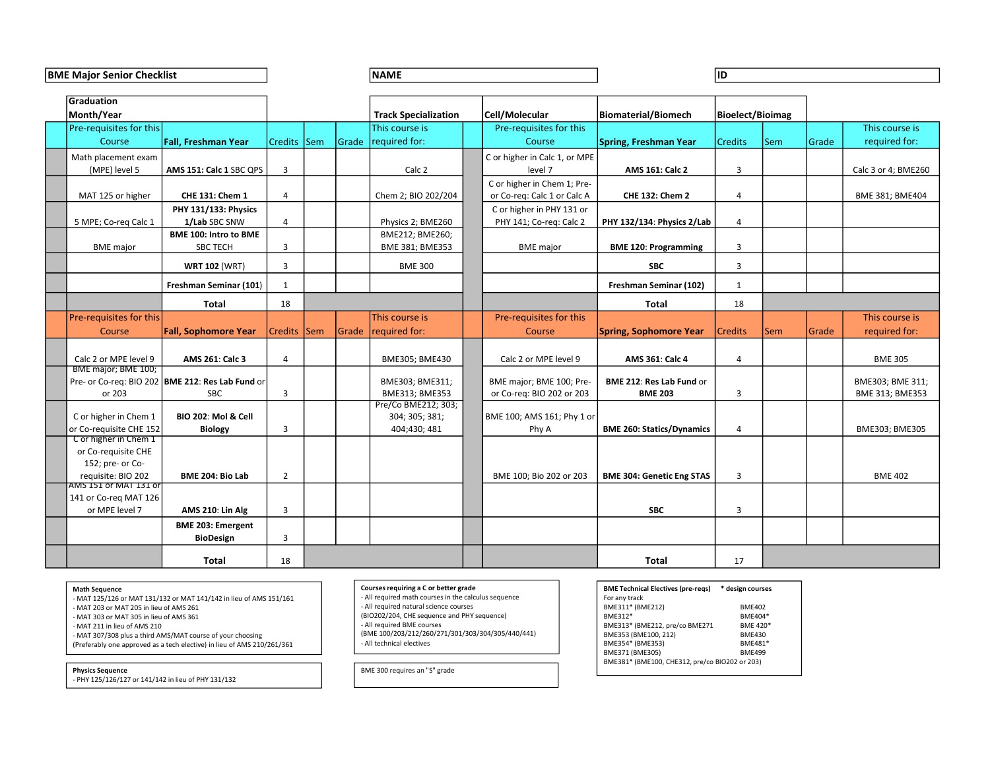BME Major Senior Checklist NAME ID

| Graduation<br>Month/Year                                                                   |                                                                         |                         |                                                      | <b>Track Specialization</b>                                                           | Cell/Molecular                                             | Biomaterial/Biomech                            | Bioelect/Bioimag         |            |       |                     |
|--------------------------------------------------------------------------------------------|-------------------------------------------------------------------------|-------------------------|------------------------------------------------------|---------------------------------------------------------------------------------------|------------------------------------------------------------|------------------------------------------------|--------------------------|------------|-------|---------------------|
| Pre-requisites for this                                                                    |                                                                         |                         |                                                      | This course is                                                                        | Pre-requisites for this                                    |                                                |                          |            |       | This course is      |
| Course                                                                                     | <b>Fall, Freshman Year</b>                                              | <b>Credits</b>          | Sem                                                  | Grade required for:                                                                   | Course                                                     | Spring, Freshman Year                          | Credits                  | <b>Sem</b> | Grade | required for:       |
| Math placement exam                                                                        |                                                                         |                         |                                                      |                                                                                       | C or higher in Calc 1, or MPE                              |                                                |                          |            |       |                     |
| (MPE) level 5                                                                              | AMS 151: Calc 1 SBC QPS                                                 | $\overline{3}$          |                                                      | Calc 2                                                                                | level 7                                                    | AMS 161: Calc 2                                | $\overline{3}$           |            |       | Calc 3 or 4; BME260 |
|                                                                                            |                                                                         |                         |                                                      |                                                                                       | C or higher in Chem 1; Pre-                                |                                                |                          |            |       |                     |
| MAT 125 or higher                                                                          | CHE 131: Chem 1                                                         | $\overline{4}$          |                                                      | Chem 2; BIO 202/204                                                                   | or Co-req: Calc 1 or Calc A                                | <b>CHE 132: Chem 2</b>                         | $\overline{4}$           |            |       | BME 381; BME404     |
|                                                                                            | PHY 131/133: Physics                                                    |                         |                                                      |                                                                                       | C or higher in PHY 131 or                                  |                                                |                          |            |       |                     |
| 5 MPE; Co-reg Calc 1                                                                       | 1/Lab SBC SNW                                                           | $\overline{4}$          |                                                      | Physics 2; BME260                                                                     | PHY 141; Co-req: Calc 2                                    | PHY 132/134: Physics 2/Lab                     | $\overline{4}$           |            |       |                     |
|                                                                                            | <b>BME 100: Intro to BME</b>                                            |                         |                                                      | BME212; BME260;                                                                       |                                                            |                                                |                          |            |       |                     |
| <b>BME</b> major                                                                           | <b>SBC TECH</b>                                                         | 3                       |                                                      | BME 381; BME353                                                                       | <b>BME</b> major                                           | <b>BME 120: Programming</b>                    | $\overline{3}$           |            |       |                     |
|                                                                                            | <b>WRT 102 (WRT)</b>                                                    | $\overline{3}$          |                                                      | <b>BME 300</b>                                                                        |                                                            | <b>SBC</b>                                     | $\overline{\mathbf{3}}$  |            |       |                     |
|                                                                                            | Freshman Seminar (101)                                                  | 1                       |                                                      |                                                                                       |                                                            | Freshman Seminar (102)                         | 1                        |            |       |                     |
|                                                                                            | <b>Total</b>                                                            | 18                      |                                                      |                                                                                       |                                                            | Total                                          | 18                       |            |       |                     |
| Pre-requisites for this                                                                    |                                                                         |                         |                                                      | This course is                                                                        | Pre-requisites for this                                    |                                                |                          |            |       | This course is      |
| Course                                                                                     | <b>Fall, Sophomore Year</b>                                             | Credits  Sem            |                                                      | Grade required for:                                                                   | Course                                                     | Spring, Sophomore Year                         | <b>Credits</b>           | <b>Sem</b> | Grade | required for:       |
|                                                                                            |                                                                         |                         |                                                      |                                                                                       |                                                            |                                                |                          |            |       |                     |
| Calc 2 or MPE level 9                                                                      | AMS 261: Calc 3                                                         | $\overline{4}$          |                                                      | BME305; BME430                                                                        | Calc 2 or MPE level 9                                      | AMS 361: Calc 4                                | $\overline{4}$           |            |       | <b>BME 305</b>      |
| BME major; BME 100;                                                                        | Pre- or Co-req: BIO 202   BME 212: Res Lab Fund or                      |                         |                                                      | BME303; BME311;                                                                       | BME major; BME 100; Pre-                                   | BME 212: Res Lab Fund or                       |                          |            |       | BME303; BME 311;    |
| or 203                                                                                     | <b>SBC</b>                                                              | $\overline{3}$          |                                                      | BME313; BME353                                                                        | or Co-reg: BIO 202 or 203                                  | <b>BME 203</b>                                 | $\overline{\mathbf{3}}$  |            |       | BME 313; BME353     |
|                                                                                            |                                                                         |                         |                                                      | Pre/Co BME212; 303;                                                                   |                                                            |                                                |                          |            |       |                     |
| C or higher in Chem 1                                                                      | <b>BIO 202: Mol &amp; Cell</b>                                          |                         |                                                      | 304; 305; 381;                                                                        | BME 100; AMS 161; Phy 1 or                                 |                                                |                          |            |       |                     |
| or Co-requisite CHE 152<br>C or higher in Chem 1                                           | <b>Biology</b>                                                          | $\overline{3}$          |                                                      | 404;430;481                                                                           | Phy A                                                      | <b>BME 260: Statics/Dynamics</b>               | $\overline{4}$           |            |       | BME303; BME305      |
| or Co-requisite CHE                                                                        |                                                                         |                         |                                                      |                                                                                       |                                                            |                                                |                          |            |       |                     |
| 152; pre- or Co-                                                                           |                                                                         |                         |                                                      |                                                                                       |                                                            |                                                |                          |            |       |                     |
| requisite: BIO 202                                                                         | BME 204: Bio Lab                                                        | $\overline{2}$          |                                                      |                                                                                       | BME 100; Bio 202 or 203                                    | <b>BME 304: Genetic Eng STAS</b>               | $\overline{3}$           |            |       | <b>BME 402</b>      |
| AMS 151 or MAT 131 or                                                                      |                                                                         |                         |                                                      |                                                                                       |                                                            |                                                |                          |            |       |                     |
| 141 or Co-reg MAT 126<br>or MPE level 7                                                    | AMS 210: Lin Alg                                                        | $\overline{\mathbf{3}}$ |                                                      |                                                                                       |                                                            | <b>SBC</b>                                     | $\overline{3}$           |            |       |                     |
|                                                                                            |                                                                         |                         |                                                      |                                                                                       |                                                            |                                                |                          |            |       |                     |
|                                                                                            | <b>BME 203: Emergent</b><br><b>BioDesign</b>                            | $\overline{3}$          |                                                      |                                                                                       |                                                            |                                                |                          |            |       |                     |
|                                                                                            |                                                                         |                         |                                                      |                                                                                       |                                                            |                                                |                          |            |       |                     |
|                                                                                            | Total                                                                   | 18                      |                                                      |                                                                                       |                                                            | Total                                          | 17                       |            |       |                     |
|                                                                                            |                                                                         |                         |                                                      | Courses requiring a C or better grade                                                 |                                                            |                                                |                          |            |       |                     |
| <b>Math Sequence</b><br>- MAT 125/126 or MAT 131/132 or MAT 141/142 in lieu of AMS 151/161 |                                                                         |                         | - All required math courses in the calculus sequence |                                                                                       | <b>BME Technical Electives (pre-reqs)</b><br>For any track | * design courses                               |                          |            |       |                     |
| - MAT 203 or MAT 205 in lieu of AMS 261                                                    |                                                                         |                         |                                                      | - All required natural science courses<br>(BIO202/204, CHE sequence and PHY sequence) |                                                            | BME311* (BME212)<br>BME312*                    | <b>BME402</b><br>BME404* |            |       |                     |
| - MAT 303 or MAT 305 in lieu of AMS 361<br>- MAT 211 in lieu of AMS 210                    |                                                                         |                         |                                                      | - All required BME courses                                                            |                                                            | BME313* (BME212, pre/co BME271                 | BME 420*                 |            |       |                     |
|                                                                                            | - MAT 307/308 plus a third AMS/MAT course of your choosing              |                         |                                                      | (BME 100/203/212/260/271/301/303/304/305/440/441)<br>- All technical electives        |                                                            | BME353 (BME100, 212)<br>BME354* (BME353)       | <b>BME430</b><br>BME481* |            |       |                     |
|                                                                                            | (Preferably one approved as a tech elective) in lieu of AMS 210/261/361 |                         |                                                      |                                                                                       |                                                            | BME371 (BME305)                                | <b>BME499</b>            |            |       |                     |
| <b>Physics Sequence</b>                                                                    |                                                                         |                         |                                                      | BME 300 requires an "S" grade                                                         |                                                            | BME381* (BME100, CHE312, pre/co BIO202 or 203) |                          |            |       |                     |
| - PHY 125/126/127 or 141/142 in lieu of PHY 131/132                                        |                                                                         |                         |                                                      |                                                                                       |                                                            |                                                |                          |            |       |                     |

- 
- 

## Courses requiring a C or better grade<br>- All required math courses in the calculus sequence

## BME Technical Electives (pre-reqs) \* design courses For any track<br>BME311\* (BME212) BME402  $BME311* (BME212)$ BME354\* (BME353) BME481\*<br>BME371 (BME305) BME499 BME381\* (BME100, CHE312, pre/co BIO202 or 203)